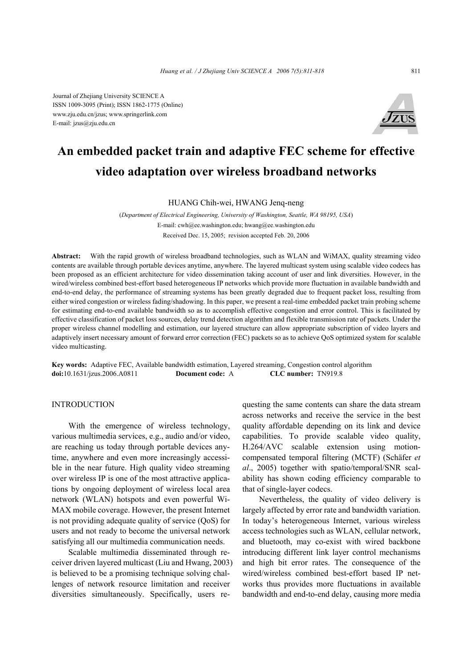Journal of Zhejiang University SCIENCE A ISSN 1009-3095 (Print); ISSN 1862-1775 (Online) www.zju.edu.cn/jzus; www.springerlink.com E-mail: jzus@zju.edu.cn



# **An embedded packet train and adaptive FEC scheme for effective video adaptation over wireless broadband networks**

HUANG Chih-wei, HWANG Jenq-neng

(*Department of Electrical Engineering, University of Washington, Seattle, WA 98195, USA*) E-mail: cwh@ee.washington.edu; hwang@ee.washington.edu Received Dec. 15, 2005; revision accepted Feb. 20, 2006

**Abstract:** With the rapid growth of wireless broadband technologies, such as WLAN and WiMAX, quality streaming video contents are available through portable devices anytime, anywhere. The layered multicast system using scalable video codecs has been proposed as an efficient architecture for video dissemination taking account of user and link diversities. However, in the wired/wireless combined best-effort based heterogeneous IP networks which provide more fluctuation in available bandwidth and end-to-end delay, the performance of streaming systems has been greatly degraded due to frequent packet loss, resulting from either wired congestion or wireless fading/shadowing. In this paper, we present a real-time embedded packet train probing scheme for estimating end-to-end available bandwidth so as to accomplish effective congestion and error control. This is facilitated by effective classification of packet loss sources, delay trend detection algorithm and flexible transmission rate of packets. Under the proper wireless channel modelling and estimation, our layered structure can allow appropriate subscription of video layers and adaptively insert necessary amount of forward error correction (FEC) packets so as to achieve QoS optimized system for scalable video multicasting.

**Key words:** Adaptive FEC, Available bandwidth estimation, Layered streaming, Congestion control algorithm **doi:**10.1631/jzus.2006.A0811 **Document code:** A **CLC number:** TN919.8

# INTRODUCTION

With the emergence of wireless technology, various multimedia services, e.g., audio and/or video, are reaching us today through portable devices anytime, anywhere and even more increasingly accessible in the near future. High quality video streaming over wireless IP is one of the most attractive applications by ongoing deployment of wireless local area network (WLAN) hotspots and even powerful Wi-MAX mobile coverage. However, the present Internet is not providing adequate quality of service (QoS) for users and not ready to become the universal network satisfying all our multimedia communication needs.

Scalable multimedia disseminated through receiver driven layered multicast (Liu and Hwang, 2003) is believed to be a promising technique solving challenges of network resource limitation and receiver diversities simultaneously. Specifically, users requesting the same contents can share the data stream across networks and receive the service in the best quality affordable depending on its link and device capabilities. To provide scalable video quality, H.264/AVC scalable extension using motioncompensated temporal filtering (MCTF) (Schäfer *et al*., 2005) together with spatio/temporal/SNR scalability has shown coding efficiency comparable to that of single-layer codecs.

Nevertheless, the quality of video delivery is largely affected by error rate and bandwidth variation. In today's heterogeneous Internet, various wireless access technologies such as WLAN, cellular network, and bluetooth, may co-exist with wired backbone introducing different link layer control mechanisms and high bit error rates. The consequence of the wired/wireless combined best-effort based IP networks thus provides more fluctuations in available bandwidth and end-to-end delay, causing more media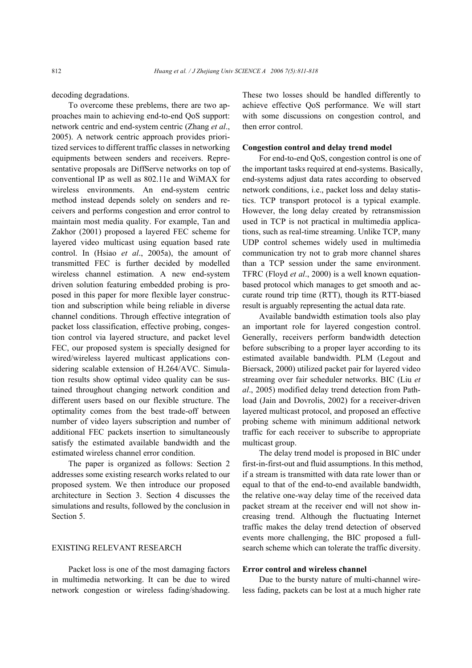decoding degradations.

To overcome these preblems, there are two approaches main to achieving end-to-end QoS support: network centric and end-system centric (Zhang *et al*., 2005). A network centric approach provides prioritized services to different traffic classes in networking equipments between senders and receivers. Representative proposals are DiffServe networks on top of conventional IP as well as 802.11e and WiMAX for wireless environments. An end-system centric method instead depends solely on senders and receivers and performs congestion and error control to maintain most media quality. For example, Tan and Zakhor (2001) proposed a layered FEC scheme for layered video multicast using equation based rate control. In (Hsiao *et al*., 2005a), the amount of transmitted FEC is further decided by modelled wireless channel estimation. A new end-system driven solution featuring embedded probing is proposed in this paper for more flexible layer construction and subscription while being reliable in diverse channel conditions. Through effective integration of packet loss classification, effective probing, congestion control via layered structure, and packet level FEC, our proposed system is specially designed for wired/wireless layered multicast applications considering scalable extension of H.264/AVC. Simulation results show optimal video quality can be sustained throughout changing network condition and different users based on our flexible structure. The optimality comes from the best trade-off between number of video layers subscription and number of additional FEC packets insertion to simultaneously satisfy the estimated available bandwidth and the estimated wireless channel error condition.

The paper is organized as follows: Section 2 addresses some existing research works related to our proposed system. We then introduce our proposed architecture in Section 3. Section 4 discusses the simulations and results, followed by the conclusion in Section 5.

#### EXISTING RELEVANT RESEARCH

Packet loss is one of the most damaging factors in multimedia networking. It can be due to wired network congestion or wireless fading/shadowing. These two losses should be handled differently to achieve effective QoS performance. We will start with some discussions on congestion control, and then error control.

#### **Congestion control and delay trend model**

For end-to-end QoS, congestion control is one of the important tasks required at end-systems. Basically, end-systems adjust data rates according to observed network conditions, i.e., packet loss and delay statistics. TCP transport protocol is a typical example. However, the long delay created by retransmission used in TCP is not practical in multimedia applications, such as real-time streaming. Unlike TCP, many UDP control schemes widely used in multimedia communication try not to grab more channel shares than a TCP session under the same environment. TFRC (Floyd *et al*., 2000) is a well known equationbased protocol which manages to get smooth and accurate round trip time (RTT), though its RTT-biased result is arguably representing the actual data rate.

Available bandwidth estimation tools also play an important role for layered congestion control. Generally, receivers perform bandwidth detection before subscribing to a proper layer according to its estimated available bandwidth. PLM (Legout and Biersack, 2000) utilized packet pair for layered video streaming over fair scheduler networks. BIC (Liu *et al*., 2005) modified delay trend detection from Pathload (Jain and Dovrolis, 2002) for a receiver-driven layered multicast protocol, and proposed an effective probing scheme with minimum additional network traffic for each receiver to subscribe to appropriate multicast group.

The delay trend model is proposed in BIC under first-in-first-out and fluid assumptions. In this method, if a stream is transmitted with data rate lower than or equal to that of the end-to-end available bandwidth, the relative one-way delay time of the received data packet stream at the receiver end will not show increasing trend. Although the fluctuating Internet traffic makes the delay trend detection of observed events more challenging, the BIC proposed a fullsearch scheme which can tolerate the traffic diversity.

## **Error control and wireless channel**

Due to the bursty nature of multi-channel wireless fading, packets can be lost at a much higher rate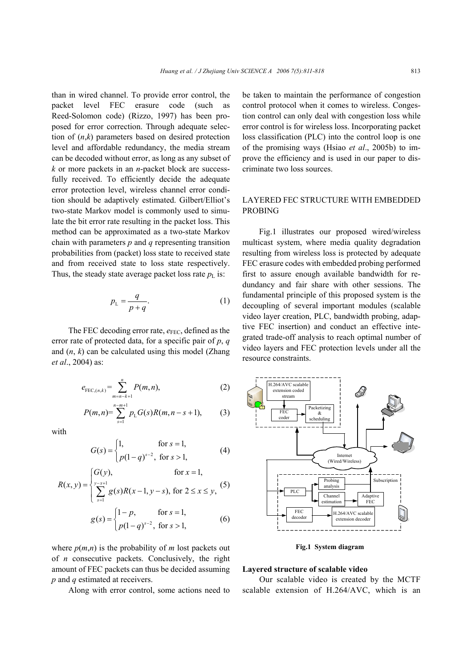than in wired channel. To provide error control, the packet level FEC erasure code (such as Reed-Solomon code) (Rizzo, 1997) has been proposed for error correction. Through adequate selection of (*n*,*k*) parameters based on desired protection level and affordable redundancy, the media stream can be decoded without error, as long as any subset of *k* or more packets in an *n*-packet block are successfully received. To efficiently decide the adequate error protection level, wireless channel error condition should be adaptively estimated. Gilbert/Elliot's two-state Markov model is commonly used to simulate the bit error rate resulting in the packet loss. This method can be approximated as a two-state Markov chain with parameters *p* and *q* representing transition probabilities from (packet) loss state to received state and from received state to loss state respectively. Thus, the steady state average packet loss rate  $p_{\text{L}}$  is:

$$
p_{\rm L} = \frac{q}{p+q}.\tag{1}
$$

The FEC decoding error rate,  $e_{\text{FEC}}$ , defined as the error rate of protected data, for a specific pair of *p*, *q* and (*n*, *k*) can be calculated using this model (Zhang *et al*., 2004) as:

$$
e_{\text{FEC},(n,k)} = \sum_{m=n-k+1}^{n} P(m,n),
$$
 (2)

$$
P(m,n) = \sum_{s=1}^{n-m+1} p_{\rm L} G(s) R(m,n-s+1), \tag{3}
$$

with

$$
G(s) = \begin{cases} 1, & \text{for } s = 1, \\ p(1-q)^{s-2}, & \text{for } s > 1, \end{cases}
$$
 (4)

$$
R(x, y) = \begin{cases} G(y), & \text{for } x = 1, \\ \sum_{s=1}^{y-x+1} g(s)R(x-1, y-s), & \text{for } 2 \le x \le y, \end{cases}
$$
 (5)  

$$
g(s) = \begin{cases} 1-p, & \text{for } s = 1, \\ p(1-q)^{s-2}, & \text{for } s > 1, \end{cases}
$$
 (6)

where  $p(m,n)$  is the probability of *m* lost packets out of *n* consecutive packets. Conclusively, the right amount of FEC packets can thus be decided assuming *p* and *q* estimated at receivers.

Along with error control, some actions need to

be taken to maintain the performance of congestion control protocol when it comes to wireless. Congestion control can only deal with congestion loss while error control is for wireless loss. Incorporating packet loss classification (PLC) into the control loop is one of the promising ways (Hsiao *et al*., 2005b) to improve the efficiency and is used in our paper to discriminate two loss sources.

## LAYERED FEC STRUCTURE WITH EMBEDDED PROBING

Fig.1 illustrates our proposed wired/wireless multicast system, where media quality degradation resulting from wireless loss is protected by adequate FEC erasure codes with embedded probing performed first to assure enough available bandwidth for redundancy and fair share with other sessions. The fundamental principle of this proposed system is the decoupling of several important modules (scalable video layer creation, PLC, bandwidth probing, adaptive FEC insertion) and conduct an effective integrated trade-off analysis to reach optimal number of video layers and FEC protection levels under all the resource constraints.



**Fig.1 System diagram** 

#### **Layered structure of scalable video**

Our scalable video is created by the MCTF scalable extension of H.264/AVC, which is an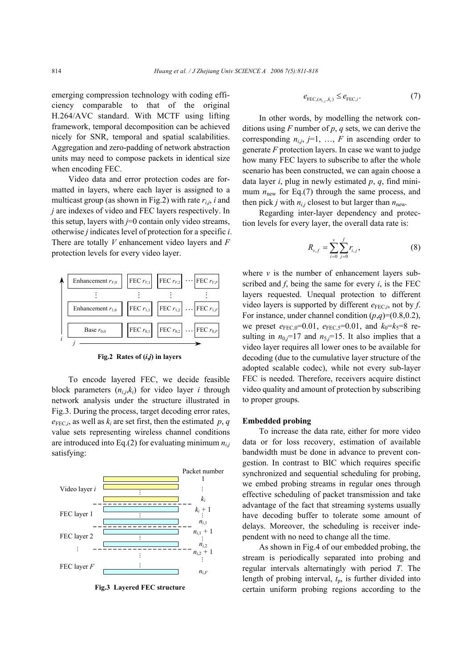emerging compression technology with coding efficiency comparable to that of the original H.264/AVC standard. With MCTF using lifting framework, temporal decomposition can be achieved nicely for SNR, temporal and spatial scalabilities. Aggregation and zero-padding of network abstraction units may need to compose packets in identical size when encoding FEC.

Video data and error protection codes are formatted in layers, where each layer is assigned to a multicast group (as shown in Fig.2) with rate  $r_{i,j}$ , *i* and *j* are indexes of video and FEC layers respectively. In this setup, layers with *j*=0 contain only video streams, otherwise *j* indicates level of protection for a specific *i*. There are totally *V* enhancement video layers and *F*  protection levels for every video layer.



**Fig.2 Rates of (***i***,***j***) in layers** 

To encode layered FEC, we decide feasible block parameters  $(n_{i,j},k_i)$  for video layer *i* through network analysis under the structure illustrated in Fig.3. During the process, target decoding error rates,  $e_{\text{FEC}}$ *i*, as well as  $k_i$  are set first, then the estimated *p*, *q* value sets representing wireless channel conditions are introduced into Eq.(2) for evaluating minimum  $n_{i,j}$ satisfying:



**Fig.3 Layered FEC structure** 

$$
e_{\text{FEC},(n_{i,j},k_i)} \leq e_{\text{FEC},i}.\tag{7}
$$

In other words, by modelling the network conditions using *F* number of *p*, *q* sets, we can derive the corresponding  $n_{i,j}$ ,  $j=1, \ldots, F$  in ascending order to generate *F* protection layers. In case we want to judge how many FEC layers to subscribe to after the whole scenario has been constructed, we can again choose a data layer *i*, plug in newly estimated *p*, *q*, find minimum  $n_{\text{new}}$  for Eq.(7) through the same process, and then pick *j* with  $n_{i,j}$  closest to but larger than  $n_{\text{new}}$ .

Regarding inter-layer dependency and protection levels for every layer, the overall data rate is:

$$
R_{v,f} = \sum_{i=0}^{v} \sum_{j=0}^{f} r_{i,j},
$$
 (8)

where  $\nu$  is the number of enhancement layers subscribed and *f*, being the same for every *i*, is the FEC layers requested. Unequal protection to different video layers is supported by different  $e_{\text{FEC},i}$ , not by *f*. For instance, under channel condition  $(p,q)=(0.8,0.2)$ , we preset  $e_{\text{FEC,0}}$ =0.01,  $e_{\text{FEC,5}}$ =0.01, and  $k_0$ = $k_5$ =8 resulting in  $n_0$ *j*=17 and  $n_5$ *j*=15. It also implies that a video layer requires all lower ones to be available for decoding (due to the cumulative layer structure of the adopted scalable codec), while not every sub-layer FEC is needed. Therefore, receivers acquire distinct video quality and amount of protection by subscribing to proper groups.

#### **Embedded probing**

To increase the data rate, either for more video data or for loss recovery, estimation of available bandwidth must be done in advance to prevent congestion. In contrast to BIC which requires specific synchronized and sequential scheduling for probing, we embed probing streams in regular ones through effective scheduling of packet transmission and take advantage of the fact that streaming systems usually have decoding buffer to tolerate some amount of delays. Moreover, the scheduling is receiver independent with no need to change all the time.

As shown in Fig.4 of our embedded probing, the stream is periodically separated into probing and regular intervals alternatingly with period *T*. The length of probing interval, *t*p, is further divided into certain uniform probing regions according to the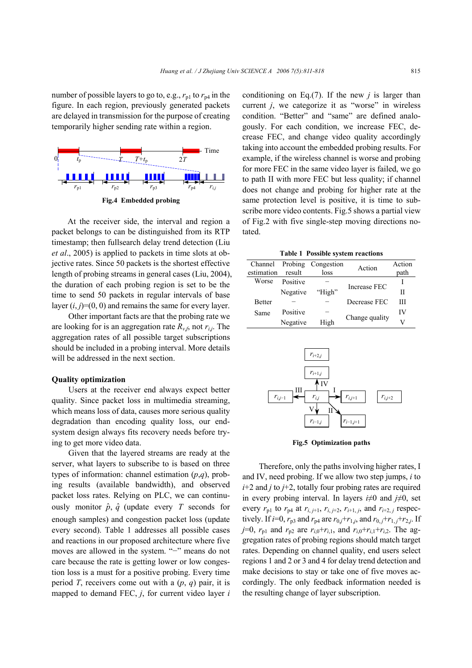number of possible layers to go to, e.g.,  $r_{p1}$  to  $r_{p4}$  in the figure. In each region, previously generated packets are delayed in transmission for the purpose of creating temporarily higher sending rate within a region.



At the receiver side, the interval and region a packet belongs to can be distinguished from its RTP timestamp; then fullsearch delay trend detection (Liu *et al*., 2005) is applied to packets in time slots at objective rates. Since 50 packets is the shortest effective length of probing streams in general cases (Liu, 2004), the duration of each probing region is set to be the time to send 50 packets in regular intervals of base layer  $(i, j)=(0, 0)$  and remains the same for every layer.

Other important facts are that the probing rate we are looking for is an aggregation rate  $R_{vf}$ , not  $r_{i,j}$ . The aggregation rates of all possible target subscriptions should be included in a probing interval. More details will be addressed in the next section.

#### **Quality optimization**

Users at the receiver end always expect better quality. Since packet loss in multimedia streaming, which means loss of data, causes more serious quality degradation than encoding quality loss, our endsystem design always fits recovery needs before trying to get more video data.

Given that the layered streams are ready at the server, what layers to subscribe to is based on three types of information: channel estimation (*p*,*q*), probing results (available bandwidth), and observed packet loss rates. Relying on PLC, we can continuously monitor  $\hat{p}$ ,  $\hat{q}$  (update every *T* seconds for enough samples) and congestion packet loss (update every second). Table 1 addresses all possible cases and reactions in our proposed architecture where five moves are allowed in the system. "−" means do not care because the rate is getting lower or low congestion loss is a must for a positive probing. Every time period *T*, receivers come out with a (*p*, *q*) pair, it is mapped to demand FEC, *j*, for current video layer *i* 

conditioning on Eq. $(7)$ . If the new *j* is larger than current *j*, we categorize it as "worse" in wireless condition. "Better" and "same" are defined analogously. For each condition, we increase FEC, decrease FEC, and change video quality accordingly taking into account the embedded probing results. For example, if the wireless channel is worse and probing for more FEC in the same video layer is failed, we go to path II with more FEC but less quality; if channel does not change and probing for higher rate at the same protection level is positive, it is time to subscribe more video contents. Fig.5 shows a partial view of Fig.2 with five single-step moving directions notated.

**Table 1 Possible system reactions** 

| $1.401C + 1.000101C + 1.0001C + 1.0001C$ |          |            |                |        |  |
|------------------------------------------|----------|------------|----------------|--------|--|
| Channel                                  | Probing  | Congestion | Action         | Action |  |
| estimation                               | result   | loss       |                | path   |  |
| Worse                                    | Positive |            | Increase FEC   |        |  |
|                                          | Negative | "High"     |                | Н      |  |
| <b>Better</b>                            |          |            | Decrease FEC   | Ш      |  |
| Same                                     | Positive |            | Change quality | IV     |  |
|                                          | Negative | High       |                | V      |  |



**Fig.5 Optimization paths** 

Therefore, only the paths involving higher rates, I and IV, need probing. If we allow two step jumps, *i* to *i*+2 and *j* to *j*+2, totally four probing rates are required in every probing interval. In layers *i*≠0 and *j*≠0, set every  $r_{p1}$  to  $r_{p4}$  at  $r_{i, i+1}$ ,  $r_{i, i+2}$ ,  $r_{i+1, i}$ , and  $r_{i+2, i}$  respectively. If *i*=0,  $r_{p3}$  and  $r_{p4}$  are  $r_{0,j}+r_{1,j}$ , and  $r_{0,j}+r_{1,j}+r_{2,j}$ . If *j*=0,  $r_{p1}$  and  $r_{p2}$  are  $r_{i,0} + r_{i,1}$ , and  $r_{i,0} + r_{i,1} + r_{i,2}$ . The aggregation rates of probing regions should match target rates. Depending on channel quality, end users select regions 1 and 2 or 3 and 4 for delay trend detection and make decisions to stay or take one of five moves accordingly. The only feedback information needed is the resulting change of layer subscription.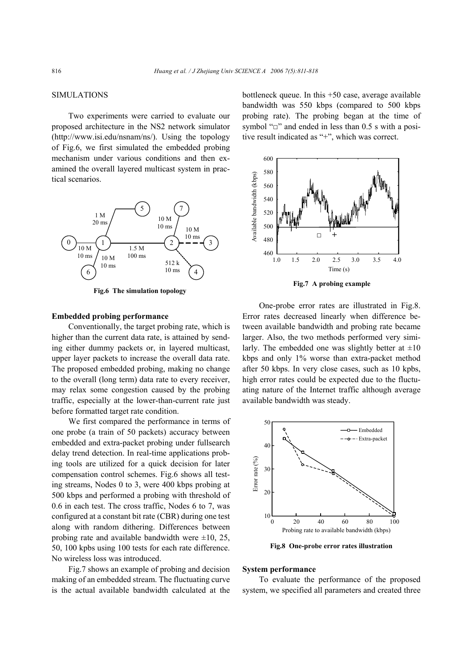#### SIMULATIONS

Two experiments were carried to evaluate our proposed architecture in the NS2 network simulator (http://www.isi.edu/nsnam/ns/). Using the topology of Fig.6, we first simulated the embedded probing mechanism under various conditions and then examined the overall layered multicast system in practical scenarios.



**Fig.6 The simulation topology** 

## **Embedded probing performance**

Conventionally, the target probing rate, which is higher than the current data rate, is attained by sending either dummy packets or, in layered multicast, upper layer packets to increase the overall data rate. The proposed embedded probing, making no change to the overall (long term) data rate to every receiver, may relax some congestion caused by the probing traffic, especially at the lower-than-current rate just before formatted target rate condition.

We first compared the performance in terms of one probe (a train of 50 packets) accuracy between embedded and extra-packet probing under fullsearch delay trend detection. In real-time applications probing tools are utilized for a quick decision for later compensation control schemes. Fig.6 shows all testing streams, Nodes 0 to 3, were 400 kbps probing at 500 kbps and performed a probing with threshold of 0.6 in each test. The cross traffic, Nodes 6 to 7, was configured at a constant bit rate (CBR) during one test along with random dithering. Differences between probing rate and available bandwidth were  $\pm 10$ , 25, 50, 100 kpbs using 100 tests for each rate difference. No wireless loss was introduced.

Fig.7 shows an example of probing and decision making of an embedded stream. The fluctuating curve is the actual available bandwidth calculated at the bottleneck queue. In this +50 case, average available bandwidth was 550 kbps (compared to 500 kbps probing rate). The probing began at the time of symbol "□" and ended in less than 0.5 s with a positive result indicated as "+", which was correct.



**Fig.7 A probing example** 

One-probe error rates are illustrated in Fig.8. Error rates decreased linearly when difference between available bandwidth and probing rate became larger. Also, the two methods performed very similarly. The embedded one was slightly better at  $\pm 10$ kbps and only 1% worse than extra-packet method after 50 kbps. In very close cases, such as 10 kpbs, high error rates could be expected due to the fluctuating nature of the Internet traffic although average available bandwidth was steady.



**Fig.8 One-probe error rates illustration** 

#### **System performance**

To evaluate the performance of the proposed system, we specified all parameters and created three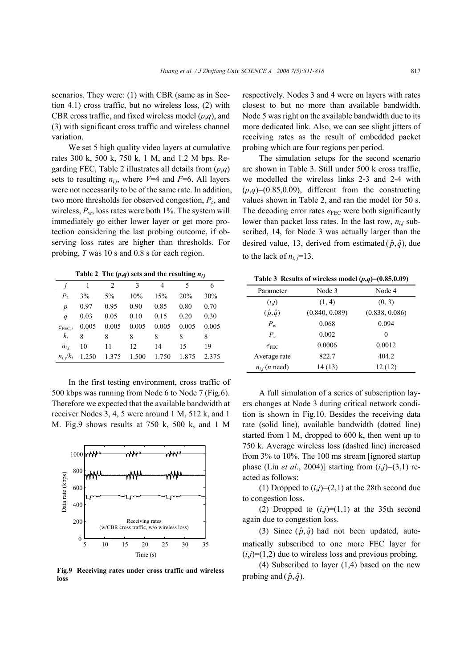scenarios. They were: (1) with CBR (same as in Section 4.1) cross traffic, but no wireless loss, (2) with CBR cross traffic, and fixed wireless model (*p*,*q*), and (3) with significant cross traffic and wireless channel variation.

We set 5 high quality video layers at cumulative rates 300 k, 500 k, 750 k, 1 M, and 1.2 M bps. Regarding FEC, Table 2 illustrates all details from (*p*,*q*) sets to resulting  $n_{ij}$ , where  $V=4$  and  $F=6$ . All layers were not necessarily to be of the same rate. In addition, two more thresholds for observed congestion,  $P_c$ , and wireless,  $P_w$ , loss rates were both 1%. The system will immediately go either lower layer or get more protection considering the last probing outcome, if observing loss rates are higher than thresholds. For probing, *T* was 10 s and 0.8 s for each region.

Table 2 The  $(p,q)$  sets and the resulting  $n_{i,j}$ 

|                    |       | $\mathfrak{D}$ | 3     | 4     | 5     | 6     |
|--------------------|-------|----------------|-------|-------|-------|-------|
| $P_{\rm L}$        | 3%    | $5\%$          | 10%   | 15%   | 20%   | 30%   |
| $\boldsymbol{p}$   | 0.97  | 0.95           | 0.90  | 0.85  | 0.80  | 0.70  |
| $\boldsymbol{q}$   | 0.03  | 0.05           | 0.10  | 0.15  | 0.20  | 0.30  |
| $e_{\text{FEC}.i}$ | 0.005 | 0.005          | 0.005 | 0.005 | 0.005 | 0.005 |
| $k_i$              | 8     | 8              | 8     | 8     | 8     | 8     |
| $n_{i,i}$          | 10    | 11             | 12    | 14    | 15    | 19    |
| $n_i/k_i$          | 1.250 | 1.375          | 1.500 | 1.750 | 1.875 | 2.375 |

In the first testing environment, cross traffic of 500 kbps was running from Node 6 to Node 7 (Fig.6). Therefore we expected that the available bandwidth at receiver Nodes 3, 4, 5 were around 1 M, 512 k, and 1 M. Fig.9 shows results at 750 k, 500 k, and 1 M



**Fig.9 Receiving rates under cross traffic and wireless loss**

respectively. Nodes 3 and 4 were on layers with rates closest to but no more than available bandwidth. Node 5 was right on the available bandwidth due to its more dedicated link. Also, we can see slight jitters of receiving rates as the result of embedded packet probing which are four regions per period.

The simulation setups for the second scenario are shown in Table 3. Still under 500 k cross traffic, we modelled the wireless links 2-3 and 2-4 with  $(p,q)=(0.85,0.09)$ , different from the constructing values shown in Table 2, and ran the model for 50 s. The decoding error rates  $e_{\text{FEC}}$  were both significantly lower than packet loss rates. In the last row,  $n_{ij}$  subscribed, 14, for Node 3 was actually larger than the desired value, 13, derived from estimated  $(\hat{p}, \hat{q})$ , due to the lack of  $n_i$   $=$ 13.

|  |  | Table 3 Results of wireless model $(p,q)=(0.85,0.09)$ |
|--|--|-------------------------------------------------------|
|  |  |                                                       |

| Parameter                 | Node 3         | Node 4         |
|---------------------------|----------------|----------------|
| (i,j)                     | (1, 4)         | (0, 3)         |
| $(\hat{p}, \hat{q})$      | (0.840, 0.089) | (0.838, 0.086) |
| $P_{\rm w}$               | 0.068          | 0.094          |
| $P_c$                     | 0.002          | 0              |
| $e_{\text{FEC}}$          | 0.0006         | 0.0012         |
| Average rate              | 822.7          | 404.2          |
| $n_{ij}$ ( <i>n</i> need) | 14(13)         | 12(12)         |

A full simulation of a series of subscription layers changes at Node 3 during critical network condition is shown in Fig.10. Besides the receiving data rate (solid line), available bandwidth (dotted line) started from 1 M, dropped to 600 k, then went up to 750 k. Average wireless loss (dashed line) increased from 3% to 10%. The 100 ms stream [ignored startup phase (Liu *et al.*, 2004)] starting from  $(i,j)=(3,1)$  reacted as follows:

(1) Dropped to  $(i,j)=(2,1)$  at the 28th second due to congestion loss.

(2) Dropped to  $(i,j)=(1,1)$  at the 35th second again due to congestion loss.

(3) Since  $(\hat{p}, \hat{q})$  had not been updated, automatically subscribed to one more FEC layer for  $(i,j)=(1,2)$  due to wireless loss and previous probing.

(4) Subscribed to layer (1,4) based on the new probing and  $(\hat{p}, \hat{q})$ .